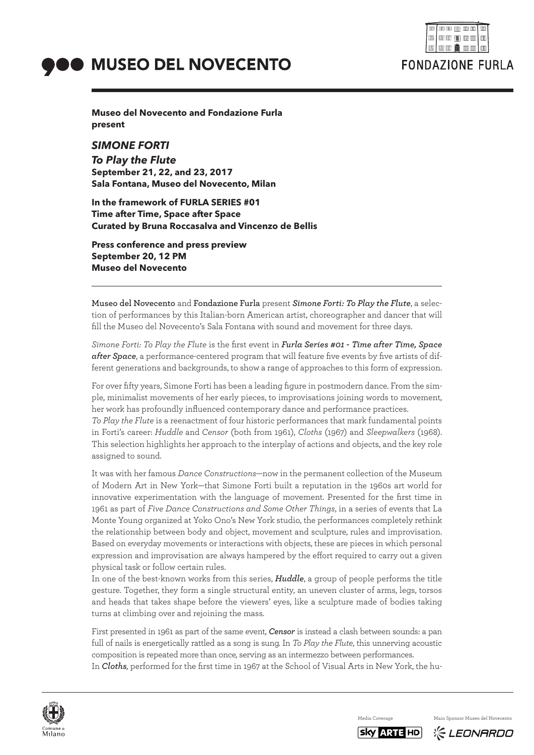



**Museo del Novecento and Fondazione Furla present** 

# *SIMONE FORTI*

*To Play the Flute*  **September 21, 22, and 23, 2017 Sala Fontana, Museo del Novecento, Milan**

**In the framework of FURLA SERIES #01 Time after Time, Space after Space Curated by Bruna Roccasalva and Vincenzo de Bellis**

**Press conference and press preview September 20, 12 PM Museo del Novecento**

**Museo del Novecento** and **Fondazione Furla** present *Simone Forti: To Play the Flute*, a selection of performances by this Italian-born American artist, choreographer and dancer that will fill the Museo del Novecento's Sala Fontana with sound and movement for three days.

*Simone Forti: To Play the Flute* is the first event in *Furla Series #01 - Time after Time, Space after Space*, a performance-centered program that will feature five events by five artists of different generations and backgrounds, to show a range of approaches to this form of expression.

For over fifty years, Simone Forti has been a leading figure in postmodern dance. From the simple, minimalist movements of her early pieces, to improvisations joining words to movement, her work has profoundly influenced contemporary dance and performance practices.

*To Play the Flute* is a reenactment of four historic performances that mark fundamental points in Forti's career: *Huddle* and *Censor* (both from 1961), *Cloths* (1967) and *Sleepwalkers* (1968). This selection highlights her approach to the interplay of actions and objects, and the key role assigned to sound.

It was with her famous *Dance Constructions*—now in the permanent collection of the Museum of Modern Art in New York—that Simone Forti built a reputation in the 1960s art world for innovative experimentation with the language of movement. Presented for the first time in 1961 as part of *Five Dance Constructions and Some Other Things*, in a series of events that La Monte Young organized at Yoko Ono's New York studio, the performances completely rethink the relationship between body and object, movement and sculpture, rules and improvisation. Based on everyday movements or interactions with objects, these are pieces in which personal expression and improvisation are always hampered by the effort required to carry out a given physical task or follow certain rules.

In one of the best-known works from this series, *Huddle*, a group of people performs the title gesture. Together, they form a single structural entity, an uneven cluster of arms, legs, torsos and heads that takes shape before the viewers' eyes, like a sculpture made of bodies taking turns at climbing over and rejoining the mass.

First presented in 1961 as part of the same event, *Censor* is instead a clash between sounds: a pan full of nails is energetically rattled as a song is sung. In *To Play the Flute*, this unnerving acoustic composition is repeated more than once, serving as an intermezzo between performances. In *Cloths,* performed for the first time in 1967 at the School of Visual Arts in New York, the hu-



Media Coverage Main Sponsor Museo del Novecento **《 LEONARDO** 

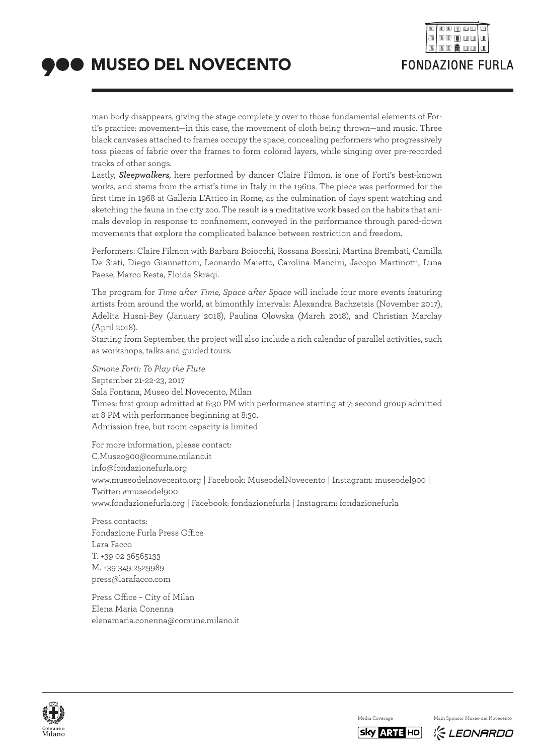



man body disappears, giving the stage completely over to those fundamental elements of Forti's practice: movement—in this case, the movement of cloth being thrown—and music. Three black canvases attached to frames occupy the space, concealing performers who progressively toss pieces of fabric over the frames to form colored layers, while singing over pre-recorded tracks of other songs.

Lastly, *Sleepwalkers,* here performed by dancer Claire Filmon, is one of Forti's best-known works, and stems from the artist's time in Italy in the 1960s. The piece was performed for the first time in 1968 at Galleria L'Attico in Rome, as the culmination of days spent watching and sketching the fauna in the city zoo. The result is a meditative work based on the habits that animals develop in response to confinement, conveyed in the performance through pared-down movements that explore the complicated balance between restriction and freedom.

Performers: Claire Filmon with Barbara Boiocchi, Rossana Bossini, Martina Brembati, Camilla De Siati, Diego Giannettoni, Leonardo Maietto, Carolina Mancini, Jacopo Martinotti, Luna Paese, Marco Resta, Floida Skraqi.

The program for *Time after Time, Space after Space* will include four more events featuring artists from around the world, at bimonthly intervals: Alexandra Bachzetsis (November 2017), Adelita Husni-Bey (January 2018), Paulina Olowska (March 2018), and Christian Marclay (April 2018).

Starting from September, the project will also include a rich calendar of parallel activities, such as workshops, talks and guided tours.

*Simone Forti: To Play the Flute* September 21-22-23, 2017 Sala Fontana, Museo del Novecento, Milan Times: first group admitted at 6:30 PM with performance starting at 7; second group admitted at 8 PM with performance beginning at 8:30. Admission free, but room capacity is limited

For more information, please contact: C.Museo900@comune.milano.it info@fondazionefurla.org www.museodelnovecento.org | Facebook: MuseodelNovecento | Instagram: museodel900 | Twitter: #museodel900 www.fondazionefurla.org | Facebook: fondazionefurla | Instagram: fondazionefurla

Press contacts: Fondazione Furla Press Office Lara Facco T. +39 02 36565133 M. +39 349 2529989 press@larafacco.com

Press Office – City of Milan Elena Maria Conenna elenamaria.conenna@comune.milano.it





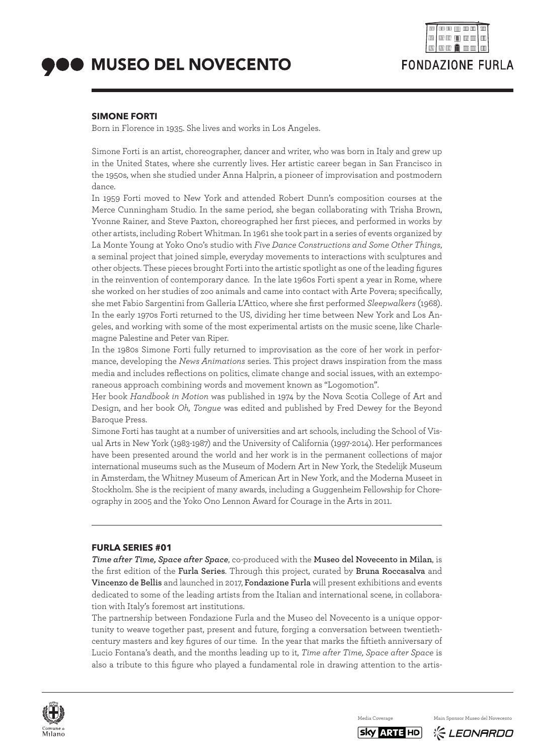



## **SIMONE FORTI**

Born in Florence in 1935. She lives and works in Los Angeles.

Simone Forti is an artist, choreographer, dancer and writer, who was born in Italy and grew up in the United States, where she currently lives. Her artistic career began in San Francisco in the 1950s, when she studied under Anna Halprin, a pioneer of improvisation and postmodern dance.

In 1959 Forti moved to New York and attended Robert Dunn's composition courses at the Merce Cunningham Studio. In the same period, she began collaborating with Trisha Brown, Yvonne Rainer, and Steve Paxton, choreographed her first pieces, and performed in works by other artists, including Robert Whitman. In 1961 she took part in a series of events organized by La Monte Young at Yoko Ono's studio with *Five Dance Constructions and Some Other Things*, a seminal project that joined simple, everyday movements to interactions with sculptures and other objects. These pieces brought Forti into the artistic spotlight as one of the leading figures in the reinvention of contemporary dance. In the late 1960s Forti spent a year in Rome, where she worked on her studies of zoo animals and came into contact with Arte Povera; specifically, she met Fabio Sargentini from Galleria L'Attico, where she first performed *Sleepwalkers* (1968). In the early 1970s Forti returned to the US, dividing her time between New York and Los Angeles, and working with some of the most experimental artists on the music scene, like Charlemagne Palestine and Peter van Riper.

In the 1980s Simone Forti fully returned to improvisation as the core of her work in performance, developing the *News Animations* series. This project draws inspiration from the mass media and includes reflections on politics, climate change and social issues, with an extemporaneous approach combining words and movement known as "Logomotion".

Her book *Handbook in Motion* was published in 1974 by the Nova Scotia College of Art and Design, and her book *Oh, Tongue* was edited and published by Fred Dewey for the Beyond Baroque Press.

Simone Forti has taught at a number of universities and art schools, including the School of Visual Arts in New York (1983-1987) and the University of California (1997-2014). Her performances have been presented around the world and her work is in the permanent collections of major international museums such as the Museum of Modern Art in New York, the Stedelijk Museum in Amsterdam, the Whitney Museum of American Art in New York, and the Moderna Museet in Stockholm. She is the recipient of many awards, including a Guggenheim Fellowship for Choreography in 2005 and the Yoko Ono Lennon Award for Courage in the Arts in 2011.

### **FURLA SERIES #01**

*Time after Time, Space after Space*, co-produced with the **Museo del Novecento in Milan**, is the first edition of the **Furla Series**. Through this project, curated by **Bruna Roccasalva** and **Vincenzo de Bellis** and launched in 2017, **Fondazione Furla** will present exhibitions and events dedicated to some of the leading artists from the Italian and international scene, in collaboration with Italy's foremost art institutions.

The partnership between Fondazione Furla and the Museo del Novecento is a unique opportunity to weave together past, present and future, forging a conversation between twentiethcentury masters and key figures of our time. In the year that marks the fiftieth anniversary of Lucio Fontana's death, and the months leading up to it, *Time after Time, Space after Space* is also a tribute to this figure who played a fundamental role in drawing attention to the artis-